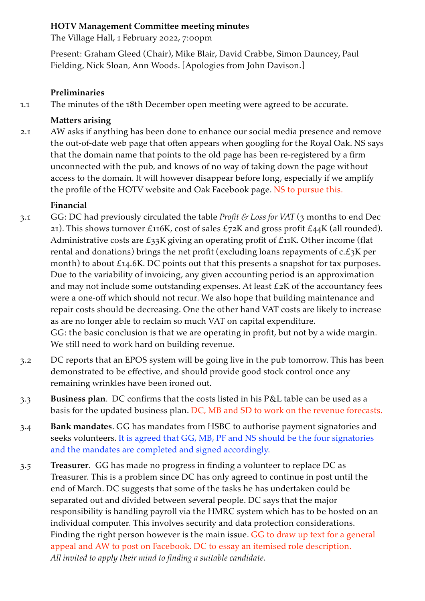### **HOTV Management Committee meeting minutes**

The Village Hall, 1 February 2022, 7:00pm

Present: Graham Gleed (Chair), Mike Blair, David Crabbe, Simon Dauncey, Paul Fielding, Nick Sloan, Ann Woods. [Apologies from John Davison.]

#### **Preliminaries**

1.1 The minutes of the 18th December open meeting were agreed to be accurate.

### **Matters arising**

2.1 AW asks if anything has been done to enhance our social media presence and remove the out-of-date web page that often appears when googling for the Royal Oak. NS says that the domain name that points to the old page has been re-registered by a firm unconnected with the pub, and knows of no way of taking down the page without access to the domain. It will however disappear before long, especially if we amplify the profile of the HOTV website and Oak Facebook page. NS to pursue this.

## **Financial**

- 3.1 GG: DC had previously circulated the table *Profit & Loss for VAT* (3 months to end Dec 21). This shows turnover £116K, cost of sales £72K and gross profit  $E_4$ 4K (all rounded). Administrative costs are  $\pounds$ 33K giving an operating profit of  $\pounds$ 11K. Other income (flat rental and donations) brings the net profit (excluding loans repayments of c.£3K per month) to about £14.6K. DC points out that this presents a snapshot for tax purposes. Due to the variability of invoicing, any given accounting period is an approximation and may not include some outstanding expenses. At least £2K of the accountancy fees were a one-off which should not recur. We also hope that building maintenance and repair costs should be decreasing. One the other hand VAT costs are likely to increase as are no longer able to reclaim so much VAT on capital expenditure. GG: the basic conclusion is that we are operating in profit, but not by a wide margin. We still need to work hard on building revenue.
- 3.2 DC reports that an EPOS system will be going live in the pub tomorrow. This has been demonstrated to be effective, and should provide good stock control once any remaining wrinkles have been ironed out.
- 3.3 **Business plan**. DC confirms that the costs listed in his P&L table can be used as a basis for the updated business plan. DC, MB and SD to work on the revenue forecasts.
- 3.4 **Bank mandates**. GG has mandates from HSBC to authorise payment signatories and seeks volunteers. It is agreed that GG, MB, PF and NS should be the four signatories and the mandates are completed and signed accordingly.
- 3.5 **Treasurer**.GG has made no progress in finding a volunteer to replace DC as Treasurer. This is a problem since DC has only agreed to continue in post until the end of March. DC suggests that some of the tasks he has undertaken could be separated out and divided between several people. DC says that the major responsibility is handling payroll via the HMRC system which has to be hosted on an individual computer. This involves security and data protection considerations. Finding the right person however is the main issue. GG to draw up text for a general appeal and AW to post on Facebook. DC to essay an itemised role description. *All invited to apply their mind to finding a suitable candidate.*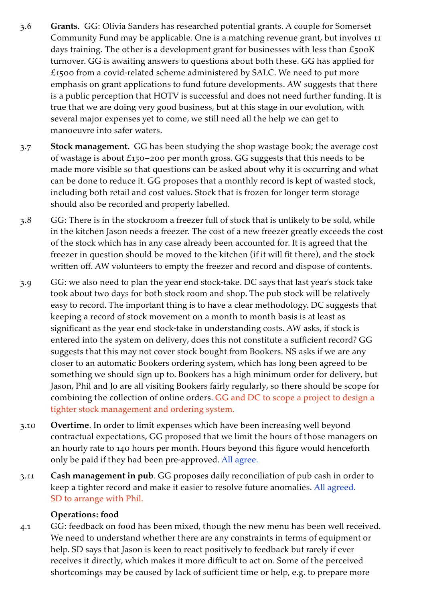- 3.6 **Grants**. GG: Olivia Sanders has researched potential grants. A couple for Somerset Community Fund may be applicable. One is a matching revenue grant, but involves 11 days training. The other is a development grant for businesses with less than  $\pounds$ 500K turnover. GG is awaiting answers to questions about both these. GG has applied for £1500 from a covid-related scheme administered by SALC. We need to put more emphasis on grant applications to fund future developments. AW suggests that there is a public perception that HOTV is successful and does not need further funding. It is true that we are doing very good business, but at this stage in our evolution, with several major expenses yet to come, we still need all the help we can get to manoeuvre into safer waters.
- 3.7 **Stock management**. GG has been studying the shop wastage book; the average cost of wastage is about £150–200 per month gross. GG suggests that this needs to be made more visible so that questions can be asked about why it is occurring and what can be done to reduce it. GG proposes that a monthly record is kept of wasted stock, including both retail and cost values. Stock that is frozen for longer term storage should also be recorded and properly labelled.
- 3.8 GG: There is in the stockroom a freezer full of stock that is unlikely to be sold, while in the kitchen Jason needs a freezer. The cost of a new freezer greatly exceeds the cost of the stock which has in any case already been accounted for. It is agreed that the freezer in question should be moved to the kitchen (if it will fit there), and the stock written off. AW volunteers to empty the freezer and record and dispose of contents.
- 3.9 GG: we also need to plan the year end stock-take. DC says that last year's stock take took about two days for both stock room and shop. The pub stock will be relatively easy to record. The important thing is to have a clear methodology. DC suggests that keeping a record of stock movement on a month to month basis is at least as significant as the year end stock-take in understanding costs. AW asks, if stock is entered into the system on delivery, does this not constitute a sufficient record? GG suggests that this may not cover stock bought from Bookers. NS asks if we are any closer to an automatic Bookers ordering system, which has long been agreed to be something we should sign up to. Bookers has a high minimum order for delivery, but Jason, Phil and Jo are all visiting Bookers fairly regularly, so there should be scope for combining the collection of online orders. GG and DC to scope a project to design a tighter stock management and ordering system.
- 3.10 **Overtime**. In order to limit expenses which have been increasing well beyond contractual expectations, GG proposed that we limit the hours of those managers on an hourly rate to 140 hours per month. Hours beyond this figure would henceforth only be paid if they had been pre-approved. All agree.
- 3.11 **Cash management in pub**. GG proposes daily reconciliation of pub cash in order to keep a tighter record and make it easier to resolve future anomalies. All agreed. SD to arrange with Phil.

#### **Operations: food**

4.1 GG: feedback on food has been mixed, though the new menu has been well received. We need to understand whether there are any constraints in terms of equipment or help. SD says that Jason is keen to react positively to feedback but rarely if ever receives it directly, which makes it more difficult to act on. Some of the perceived shortcomings may be caused by lack of sufficient time or help, e.g. to prepare more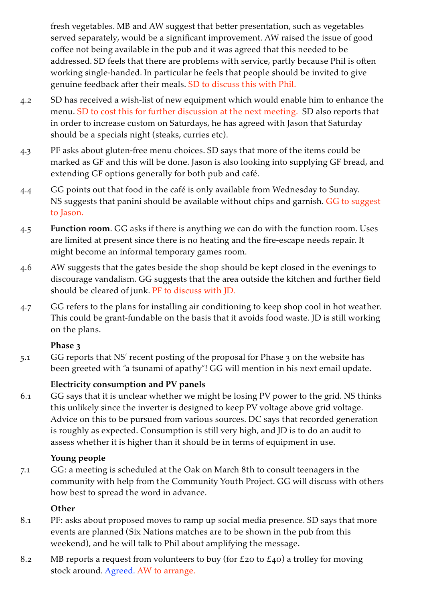fresh vegetables. MB and AW suggest that better presentation, such as vegetables served separately, would be a significant improvement. AW raised the issue of good coffee not being available in the pub and it was agreed that this needed to be addressed. SD feels that there are problems with service, partly because Phil is often working single-handed. In particular he feels that people should be invited to give genuine feedback after their meals. SD to discuss this with Phil.

- 4.2 SD has received a wish-list of new equipment which would enable him to enhance the menu. SD to cost this for further discussion at the next meeting. SD also reports that in order to increase custom on Saturdays, he has agreed with Jason that Saturday should be a specials night (steaks, curries etc).
- 4.3 PF asks about gluten-free menu choices. SD says that more of the items could be marked as GF and this will be done. Jason is also looking into supplying GF bread, and extending GF options generally for both pub and café.
- 4.4 GG points out that food in the café is only available from Wednesday to Sunday. NS suggests that panini should be available without chips and garnish. GG to suggest to Jason.
- 4.5 **Function room**. GG asks if there is anything we can do with the function room. Uses are limited at present since there is no heating and the fire-escape needs repair. It might become an informal temporary games room.
- 4.6 AW suggests that the gates beside the shop should be kept closed in the evenings to discourage vandalism. GG suggests that the area outside the kitchen and further field should be cleared of junk. PF to discuss with JD.
- 4.7 GG refers to the plans for installing air conditioning to keep shop cool in hot weather. This could be grant-fundable on the basis that it avoids food waste. JD is still working on the plans.

## **Phase 3**

5.1 GG reports that NS' recent posting of the proposal for Phase 3 on the website has been greeted with "a tsunami of apathy"! GG will mention in his next email update.

# **Electricity consumption and PV panels**

6.1 GG says that it is unclear whether we might be losing PV power to the grid. NS thinks this unlikely since the inverter is designed to keep PV voltage above grid voltage. Advice on this to be pursued from various sources. DC says that recorded generation is roughly as expected. Consumption is still very high, and JD is to do an audit to assess whether it is higher than it should be in terms of equipment in use.

## **Young people**

7.1 GG: a meeting is scheduled at the Oak on March 8th to consult teenagers in the community with help from the Community Youth Project. GG will discuss with others how best to spread the word in advance.

# **Other**

- 8.1 PF: asks about proposed moves to ramp up social media presence. SD says that more events are planned (Six Nations matches are to be shown in the pub from this weekend), and he will talk to Phil about amplifying the message.
- 8.2 MB reports a request from volunteers to buy (for £20 to £40) a trolley for moving stock around. Agreed. AW to arrange.